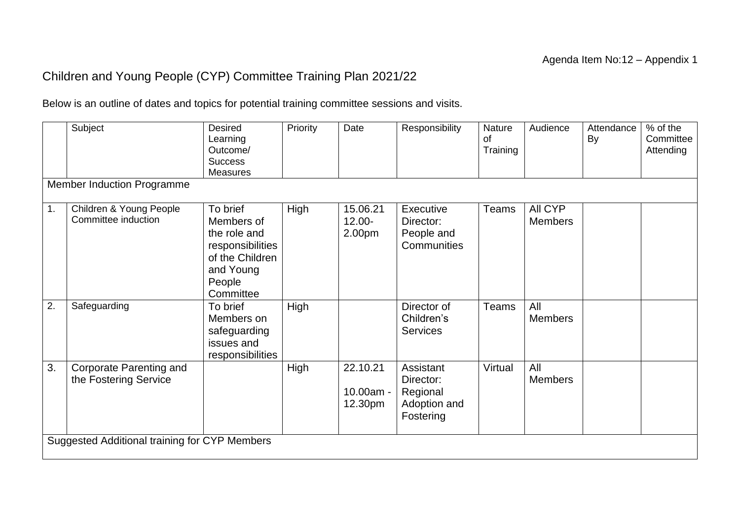## Children and Young People (CYP) Committee Training Plan 2021/22

Below is an outline of dates and topics for potential training committee sessions and visits.

|                  | Subject<br><b>Member Induction Programme</b>            | <b>Desired</b><br>Learning<br>Outcome/<br><b>Success</b><br><b>Measures</b>                                       | Priority | Date                             | Responsibility                                                  | Nature<br><b>of</b><br>Training | Audience                  | Attendance<br>By | % of the<br>Committee<br>Attending |  |
|------------------|---------------------------------------------------------|-------------------------------------------------------------------------------------------------------------------|----------|----------------------------------|-----------------------------------------------------------------|---------------------------------|---------------------------|------------------|------------------------------------|--|
|                  |                                                         |                                                                                                                   |          |                                  |                                                                 |                                 |                           |                  |                                    |  |
| 1.               | Children & Young People<br>Committee induction          | To brief<br>Members of<br>the role and<br>responsibilities<br>of the Children<br>and Young<br>People<br>Committee | High     | 15.06.21<br>$12.00 -$<br>2.00pm  | Executive<br>Director:<br>People and<br>Communities             | Teams                           | All CYP<br><b>Members</b> |                  |                                    |  |
| $\overline{2}$ . | Safeguarding                                            | To brief<br>Members on<br>safeguarding<br>issues and<br>responsibilities                                          | High     |                                  | Director of<br>Children's<br><b>Services</b>                    | Teams                           | All<br><b>Members</b>     |                  |                                    |  |
| 3.               | <b>Corporate Parenting and</b><br>the Fostering Service |                                                                                                                   | High     | 22.10.21<br>10.00am -<br>12.30pm | Assistant<br>Director:<br>Regional<br>Adoption and<br>Fostering | Virtual                         | All<br><b>Members</b>     |                  |                                    |  |
|                  | Suggested Additional training for CYP Members           |                                                                                                                   |          |                                  |                                                                 |                                 |                           |                  |                                    |  |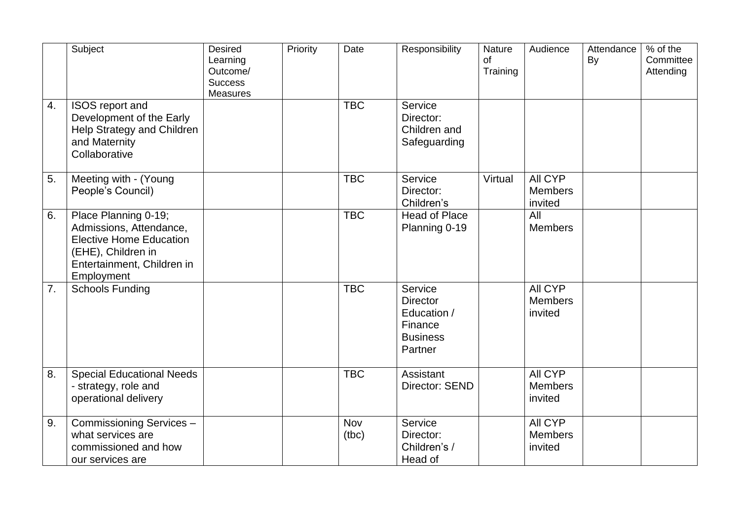|                  | Subject                                                                                                                                             | <b>Desired</b><br>Learning<br>Outcome/<br><b>Success</b><br><b>Measures</b> | Priority | Date         | Responsibility                                                                     | Nature<br>of<br>Training | Audience                             | Attendance<br>By | % of the<br>Committee<br>Attending |
|------------------|-----------------------------------------------------------------------------------------------------------------------------------------------------|-----------------------------------------------------------------------------|----------|--------------|------------------------------------------------------------------------------------|--------------------------|--------------------------------------|------------------|------------------------------------|
| $\overline{4}$ . | ISOS report and<br>Development of the Early<br>Help Strategy and Children<br>and Maternity<br>Collaborative                                         |                                                                             |          | <b>TBC</b>   | Service<br>Director:<br>Children and<br>Safeguarding                               |                          |                                      |                  |                                    |
| 5.               | Meeting with - (Young<br>People's Council)                                                                                                          |                                                                             |          | <b>TBC</b>   | Service<br>Director:<br>Children's                                                 | Virtual                  | All CYP<br><b>Members</b><br>invited |                  |                                    |
| 6.               | Place Planning 0-19;<br>Admissions, Attendance,<br><b>Elective Home Education</b><br>(EHE), Children in<br>Entertainment, Children in<br>Employment |                                                                             |          | <b>TBC</b>   | <b>Head of Place</b><br>Planning 0-19                                              |                          | All<br><b>Members</b>                |                  |                                    |
| 7.               | <b>Schools Funding</b>                                                                                                                              |                                                                             |          | <b>TBC</b>   | Service<br><b>Director</b><br>Education /<br>Finance<br><b>Business</b><br>Partner |                          | All CYP<br><b>Members</b><br>invited |                  |                                    |
| 8.               | <b>Special Educational Needs</b><br>- strategy, role and<br>operational delivery                                                                    |                                                                             |          | <b>TBC</b>   | Assistant<br>Director: SEND                                                        |                          | All CYP<br><b>Members</b><br>invited |                  |                                    |
| 9.               | Commissioning Services-<br>what services are<br>commissioned and how<br>our services are                                                            |                                                                             |          | Nov<br>(tbc) | Service<br>Director:<br>Children's /<br>Head of                                    |                          | All CYP<br><b>Members</b><br>invited |                  |                                    |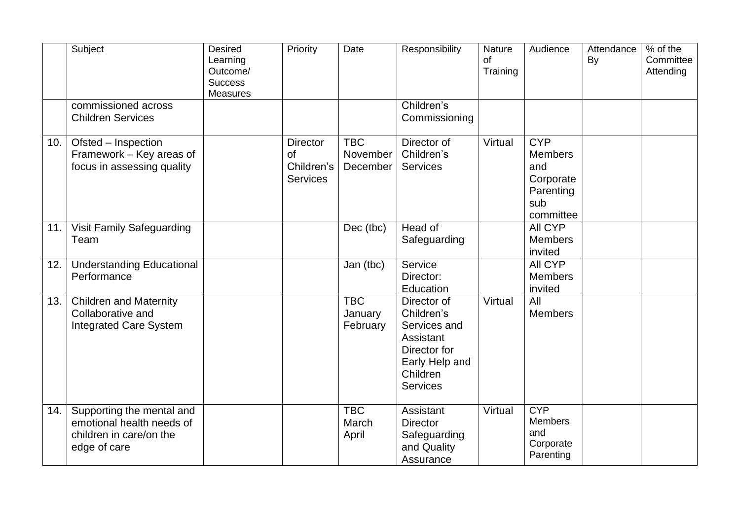|     | Subject                                                                                           | <b>Desired</b><br>Learning<br>Outcome/<br><b>Success</b><br><b>Measures</b> | Priority                                               | Date                               | Responsibility                                                                                                          | Nature<br>οf<br>Training | Audience                                                                          | Attendance<br>By | % of the<br>Committee<br>Attending |
|-----|---------------------------------------------------------------------------------------------------|-----------------------------------------------------------------------------|--------------------------------------------------------|------------------------------------|-------------------------------------------------------------------------------------------------------------------------|--------------------------|-----------------------------------------------------------------------------------|------------------|------------------------------------|
|     | commissioned across<br><b>Children Services</b>                                                   |                                                                             |                                                        |                                    | Children's<br>Commissioning                                                                                             |                          |                                                                                   |                  |                                    |
| 10. | Ofsted - Inspection<br>Framework - Key areas of<br>focus in assessing quality                     |                                                                             | <b>Director</b><br>of<br>Children's<br><b>Services</b> | <b>TBC</b><br>November<br>December | Director of<br>Children's<br>Services                                                                                   | Virtual                  | <b>CYP</b><br><b>Members</b><br>and<br>Corporate<br>Parenting<br>sub<br>committee |                  |                                    |
| 11. | Visit Family Safeguarding<br>Team                                                                 |                                                                             |                                                        | Dec (tbc)                          | Head of<br>Safeguarding                                                                                                 |                          | <b>AII CYP</b><br><b>Members</b><br>invited                                       |                  |                                    |
| 12. | <b>Understanding Educational</b><br>Performance                                                   |                                                                             |                                                        | Jan (tbc)                          | Service<br>Director:<br>Education                                                                                       |                          | All CYP<br><b>Members</b><br>invited                                              |                  |                                    |
| 13. | <b>Children and Maternity</b><br>Collaborative and<br><b>Integrated Care System</b>               |                                                                             |                                                        | <b>TBC</b><br>January<br>February  | Director of<br>Children's<br>Services and<br>Assistant<br>Director for<br>Early Help and<br>Children<br><b>Services</b> | Virtual                  | All<br><b>Members</b>                                                             |                  |                                    |
| 14. | Supporting the mental and<br>emotional health needs of<br>children in care/on the<br>edge of care |                                                                             |                                                        | <b>TBC</b><br>March<br>April       | Assistant<br><b>Director</b><br>Safeguarding<br>and Quality<br>Assurance                                                | Virtual                  | <b>CYP</b><br><b>Members</b><br>and<br>Corporate<br>Parenting                     |                  |                                    |